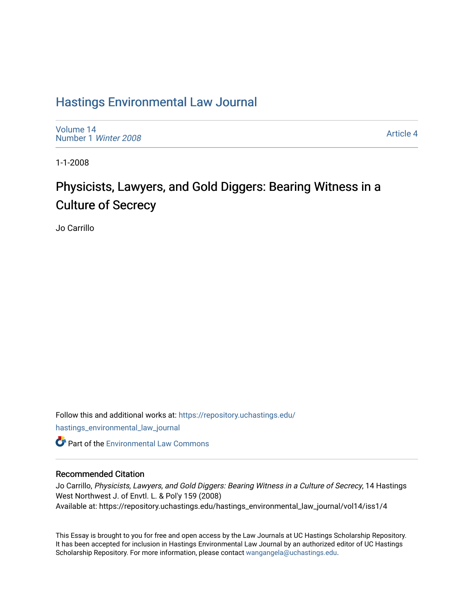# [Hastings Environmental Law Journal](https://repository.uchastings.edu/hastings_environmental_law_journal)

[Volume 14](https://repository.uchastings.edu/hastings_environmental_law_journal/vol14) [Number 1](https://repository.uchastings.edu/hastings_environmental_law_journal/vol14/iss1) Winter 2008

[Article 4](https://repository.uchastings.edu/hastings_environmental_law_journal/vol14/iss1/4) 

1-1-2008

# Physicists, Lawyers, and Gold Diggers: Bearing Witness in a Culture of Secrecy

Jo Carrillo

Follow this and additional works at: [https://repository.uchastings.edu/](https://repository.uchastings.edu/hastings_environmental_law_journal?utm_source=repository.uchastings.edu%2Fhastings_environmental_law_journal%2Fvol14%2Fiss1%2F4&utm_medium=PDF&utm_campaign=PDFCoverPages) [hastings\\_environmental\\_law\\_journal](https://repository.uchastings.edu/hastings_environmental_law_journal?utm_source=repository.uchastings.edu%2Fhastings_environmental_law_journal%2Fvol14%2Fiss1%2F4&utm_medium=PDF&utm_campaign=PDFCoverPages)  **C** Part of the [Environmental Law Commons](http://network.bepress.com/hgg/discipline/599?utm_source=repository.uchastings.edu%2Fhastings_environmental_law_journal%2Fvol14%2Fiss1%2F4&utm_medium=PDF&utm_campaign=PDFCoverPages)

### Recommended Citation

Jo Carrillo, Physicists, Lawyers, and Gold Diggers: Bearing Witness in a Culture of Secrecy, 14 Hastings West Northwest J. of Envtl. L. & Pol'y 159 (2008) Available at: https://repository.uchastings.edu/hastings\_environmental\_law\_journal/vol14/iss1/4

This Essay is brought to you for free and open access by the Law Journals at UC Hastings Scholarship Repository. It has been accepted for inclusion in Hastings Environmental Law Journal by an authorized editor of UC Hastings Scholarship Repository. For more information, please contact [wangangela@uchastings.edu.](mailto:wangangela@uchastings.edu)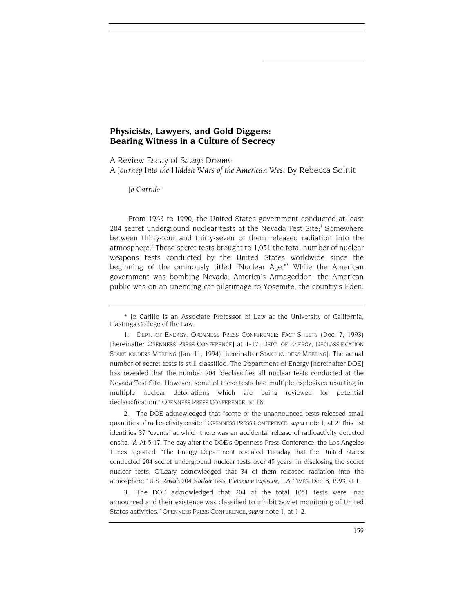## **Physicists, Lawyers, and Gold Diggers: Bearing Witness in a Culture of Secrecy**

A Review Essay of *Savage Dreams: A Journey Into the Hidden Wars of the American West* By Rebecca Solnit

*Jo Carrillo[\\*](#page-1-0)* 

From 1963 to 1990, the United States government conducted at least 204 secret underground nuclear tests at the Nevada Test Site;<sup>1</sup> Somewhere between thirty-four and thirty-seven of them released radiation into the atmosphere.<sup>[2](#page-1-2)</sup> These secret tests brought to 1,051 the total number of nuclear weapons tests conducted by the United States worldwide since the beginning of the ominously titled "Nuclear Age.["3](#page-1-3) While the American government was bombing Nevada, America's Armageddon, the American public was on an unending car pilgrimage to Yosemite, the country's Eden.

<span id="page-1-2"></span>2. The DOE acknowledged that "some of the unannounced tests released small quantities of radioactivity onsite." OPENNESS PRESS CONFERENCE, *supra* note 1, at 2. This list identifies 37 "events" at which there was an accidental release of radioactivity detected onsite. *Id.* At 5-17. The day after the DOE's Openness Press Conference, the Los Angeles Times reported: "The Energy Department revealed Tuesday that the United States conducted 204 secret underground nuclear tests over 45 years. In disclosing the secret nuclear tests, O'Leary acknowledged that 34 of them released radiation into the atmosphere." U.S. *Reveals 204 Nuclear Tests, Plutonium Exposure,* L.A. TIMES, Dec. 8, 1993, at 1.

<span id="page-1-3"></span>3. The DOE acknowledged that 204 of the total 1051 tests were "not announced and their existence was classified to inhibit Soviet monitoring of United States activities." OPENNESS PRESS CONFERENCE, *supra* note 1, at 1-2.

<span id="page-1-0"></span><sup>\*</sup> Jo Carillo is an Associate Professor of Law at the University of California, Hastings College of the Law.

<span id="page-1-1"></span><sup>1.</sup> DEPT. OF ENERGY, OPENNESS PRESS CONFERENCE: FACT SHEETS (Dec. 7, 1993) [hereinafter OPENNESS PRESS CONFERENCE] at 1-17; DEPT. OF ENERGY, DECLASSIFICATION STAKEHOLDERS MEETING (Jan. 11, 1994) [hereinafter STAKEHOLDERS MEETING]. The actual number of secret tests is still classified. The Department of Energy [hereinafter DOE] has revealed that the number 204 "declassifies all nuclear tests conducted at the Nevada Test Site. However, some of these tests had multiple explosives resulting in multiple nuclear detonations which are being reviewed for potential declassification." OPENNESS PRESS CONFERENCE, at 18.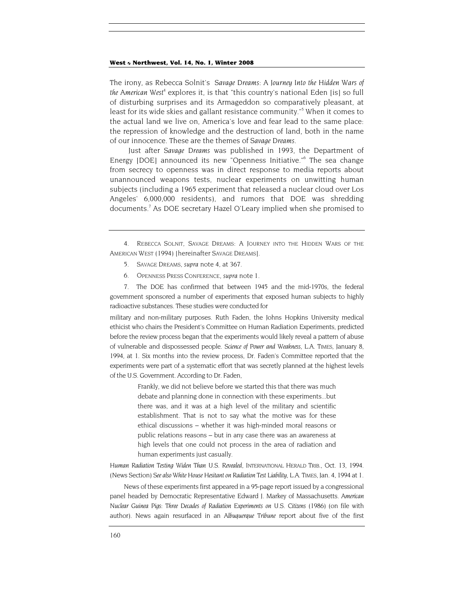<span id="page-2-3"></span>The irony, as Rebecca Solnit's *Savage Dreams: A Journey Into the Hidden Wars of*  the American West<sup>[4](#page-2-0)</sup> explores it, is that "this country's national Eden [is] so full of disturbing surprises and its Armageddon so comparatively pleasant, at least for its wide skies and gallant resistance community."<sup>5</sup> When it comes to the actual land we live on, America's love and fear lead to the same place: the repression of knowledge and the destruction of land, both in the name of our innocence. These are the themes of *Savage Dreams.* 

Just after *Savage Dreams* was published in 1993, the Department of Energy [DOE] announced its new "Openness Initiative.["6](#page-2-2) The sea change from secrecy to openness was in direct response to media reports about unannounced weapons tests, nuclear experiments on unwitting human subjects (including a 1965 experiment that released a nuclear cloud over Los Angeles' 6,000,000 residents), and rumors that DOE was shredding documents.<sup>7</sup> As DOE secretary Hazel O'Leary implied when she promised to

- <span id="page-2-1"></span>5. SAVAGE DREAMS, *supra* note 4, at 367.
- 6. OPENNESS PRESS CONFERENCE, *supra* note 1.

<span id="page-2-2"></span>7. The DOE has confirmed that between 1945 and the mid-1970s, the federal government sponsored a number of experiments that exposed human subjects to highly radioactive substances. These studies were conducted for

military and non-military purposes. Ruth Faden, the Johns Hopkins University medical ethicist who chairs the President's Committee on Human Radiation Experiments, predicted before the review process began that the experiments would likely reveal a pattern of abuse of vulnerable and dispossessed people. *Science of Power and Weakness*, L.A. TIMES, January 8, 1994, at 1. Six months into the review process, Dr. Faden's Committee reported that the experiments were part of a systematic effort that was secretly planned at the highest levels of the U.S. Government. According to Dr. Faden,

> Frankly, we did not believe before we started this that there was much debate and planning done in connection with these experiments...but there was, and it was at a high level of the military and scientific establishment. That is not to say what the motive was for these ethical discussions – whether it was high-minded moral reasons or public relations reasons – but in any case there was an awareness at high levels that one could not process in the area of radiation and human experiments just casually.

*Human Radiation Testing Widen Than U.S. Revealed,* INTERNATIONAL HERALD TRIB., Oct. 13, 1994. (News Section) *See also White House Hesitant on Radiation Test Liability,* L.A. TIMES, Jan. 4, 1994 at 1.

News of these experiments first appeared in a 95-page report issued by a congressional panel headed by Democratic Representative Edward J. Markey of Massachusetts. *American Nuclear Guinea Pigs: Three Decades of Radiation Experiments on U.S. Citizens* (1986) (on file with author). News again resurfaced in an *Albuquerque Tribune* report about five of the first

<span id="page-2-0"></span><sup>4.</sup> REBECCA SOLNIT, SAVAGE DREAMS: A JOURNEY INTO THE HIDDEN WARS OF THE AMERICAN WEST (1994) [hereinafter SAVAGE DREAMS].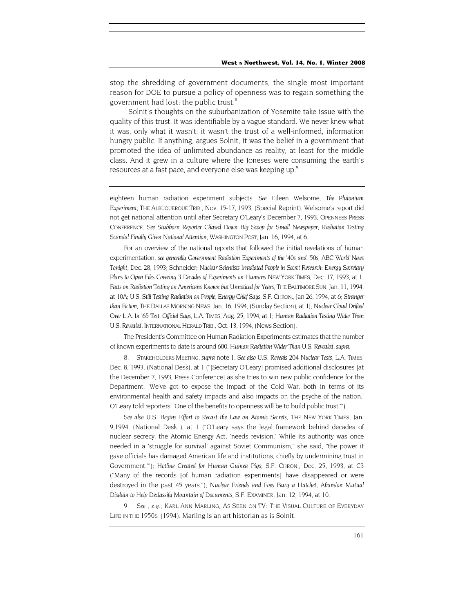stop the shredding of government documents, the single most important reason for DOE to pursue a policy of openness was to regain something the government had lost: the public trust.<sup>8</sup>

Solnit's thoughts on the suburbanization of Yosemite take issue with the quality of this trust. It was identifiable by a vague standard. We never knew what it was, only what it wasn't: it wasn't the trust of a well-informed, information hungry public. If anything, argues Solnit, it was the belief in a government that promoted the idea of unlimited abundance as reality, at least for the middle class. And it grew in a culture where the Joneses were consuming the earth's resources at a fast pace, and everyone else was keeping up.<sup>[9](#page-3-1)</sup>

eighteen human radiation experiment subjects. *See* Eileen Welsome, *The Plutonium Experiment,* THE ALBUQUERQUE TRIB., Nov. 15-17, 1993, (Special Reprint). Welsome's report did not get national attention until after Secretary O'Leary's December 7, 1993, OPENNESS PRESS CONFERENCE. *See Stubborn Reporter Chased Down Big Scoop for Small Newspaper; Radiation Testing Scandal Finally Given National Attention,* WASHINGTON POST, Jan. 16, 1994, at 6.

For an overview of the national reports that followed the initial revelations of human experimentation, *see generally Government Radiation Experiments of the '40s and '50s, ABC World News Tonight,* Dec. 28, 1993; Schneider; *Nuclear Scientists Irradiated People in Secret Research: Energy Secretary Plans to Open Files Covering 3 Decades of Experiments on Humans* NEW YORK TIMES, Dec. 17, 1993, at 1; Facts on Radiation Testing on Americans Known but Unnoticed for Years, THE BALTIMORE SUN, Jan. 11, 1994, at 10A; *U.S. Still Testing Radiation on People, Energy Chief Says,*S.F. CHRON., Jan 26, 1994, at 6; *Stranger than Fiction,* THE DALLAS MORNING NEWS, Jan. 16, 1994, (Sunday Section), at 1J; *Nuclear Cloud Drifted Over L.A. In '65 Test, Official Says,* L.A. TIMES, Aug. 25, 1994, at 1; *Human Radiation Testing Wider Than U.S. Revealed,* INTERNATIONAL HERALD TRIB., Oct. 13, 1994, (News Section).

The President's Committee on Human Radiation Experiments estimates that the number of known experiments to date is around 600. *Human Radiation Wider Than U.S. Revealed, supra.* 

<span id="page-3-0"></span>8. STAKEHOLDERS MEETING, *supra* note 1. *See also U.S. Reveals 204 Nuclear Tests,* L.A. TIMES, Dec. 8, 1993, (National Desk), at 1 ("[Secretary O'Leary] promised additional disclosures [at the December 7, 1993, Press Conference] as she tries to win new public confidence for the Department. 'We've got to expose the impact of the Cold War, both in terms of its environmental health and safety impacts and also impacts on the psyche of the nation,' O'Leary told reporters. 'One of the benefits to openness will be to build public trust.'").

See also U.S. Begins Effort to Recast the Law on Atomic Secrets, THE NEW YORK TIMES, Jan. 9,1994, (National Desk ), at 1 ("O'Leary says the legal framework behind decades of nuclear secrecy, the Atomic Energy Act, 'needs revision.' While its authority was once needed in a 'struggle for survival' against Soviet Communism," she said, "the power it gave officials has damaged American life and institutions, chiefly by undermining trust in Government.'"); *Hotline Created for Human Guinea Pigs;* S.F. CHRON., Dec. 25, 1993, at C3 ("Many of the records [of human radiation experiments] have disappeared or were destroyed in the past 45 years."); *Nuclear Friends and Foes Bury a Hatchet; Abandon Mutual Disdain to Help Declassify Mountain of Documents,* S.F. EXAMINER, Jan. 12, 1994, at 10.

<span id="page-3-1"></span>9*. See , e.g., KARL ANN MARLING, AS SEEN ON TV: THE VISUAL CULTURE OF EVERYDAY LIFE IN THE 1950S* (1994). Marling is an art historian as is Solnit.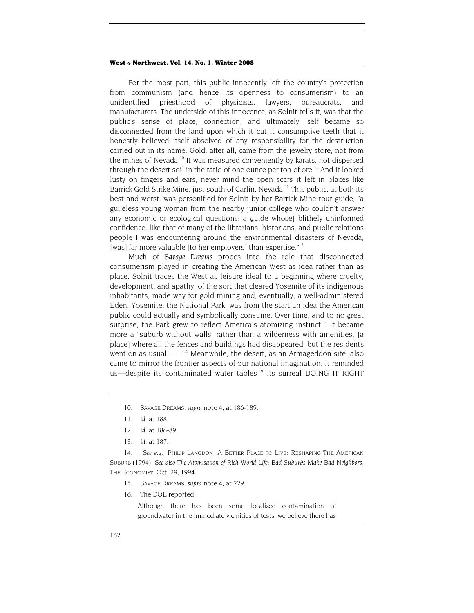<span id="page-4-6"></span>For the most part, this public innocently left the country's protection from communism (and hence its openness to consumerism) to an unidentified priesthood of physicists, lawyers, bureaucrats, and manufacturers. The underside of this innocence, as Solnit tells it, was that the public's sense of place, connection, and ultimately, self became so disconnected from the land upon which it cut it consumptive teeth that it honestly believed itself absolved of any responsibility for the destruction carried out in its name. Gold, after all, came from the jewelry store, not from the mines of Nevada.<sup>10</sup> It was measured conveniently by karats, not dispersed through the desert soil in the ratio of one ounce per ton of ore.<sup>11</sup> And it looked lusty on fingers and ears, never mind the open scars it left in places like Barrick Gold Strike Mine, just south of Carlin, Nevada.<sup>12</sup> This public, at both its best and worst, was personified for Solnit by her Barrick Mine tour guide, "a guileless young woman from the nearby junior college who couldn't answer any economic or ecological questions; a guide whose] blithely uninformed confidence, like that of many of the librarians, historians, and public relations people I was encountering around the environmental disasters of Nevada, [was] far more valuable [to her employers] than expertise." $13$ 

Much of *Savage Dreams* probes into the role that disconnected consumerism played in creating the American West as idea rather than as place. Solnit traces the West as leisure ideal to a beginning where cruelty, development, and apathy, of the sort that cleared Yosemite of its indigenous inhabitants, made way for gold mining and, eventually, a well-administered Eden. Yosemite, the National Park, was from the start an idea the American public could actually and symbolically consume. Over time, and to no great surprise, the Park grew to reflect America's atomizing instinct.<sup>14</sup> It became more a "suburb without walls, rather than a wilderness with amenities, [a place] where all the fences and buildings had disappeared, but the residents went on as usual. . . . "<sup>15</sup> Meanwhile, the desert, as an Armageddon site, also came to mirror the frontier aspects of our national imagination. It reminded us—despite its contaminated water tables,<sup>16</sup> its surreal DOING IT RIGHT

- <span id="page-4-0"></span>10. SAVAGE DREAMS, *supra* note 4, at 186-189.
- <span id="page-4-1"></span>11*. Id.* at 188.
- <span id="page-4-2"></span>12*. Id.* at 186-89.
- <span id="page-4-3"></span>13*. Id.* at 187.

<span id="page-4-4"></span>14. *See e.g.,* PHILIP LANGDON, A BETTER PLACE TO LIVE: RESHAPING THE AMERICAN SUBURB (1994). *See also The Atomisation of Rich-World Life: Bad Suburbs Make Bad Neighbors,*  THE ECONOMIST, Oct. 29, 1994.

- <span id="page-4-5"></span>15. SAVAGE DREAMS, *supra* note 4, at 229.
- 16. The DOE reported:

Although there has been some localized contamination of groundwater in the immediate vicinities of tests, we believe there has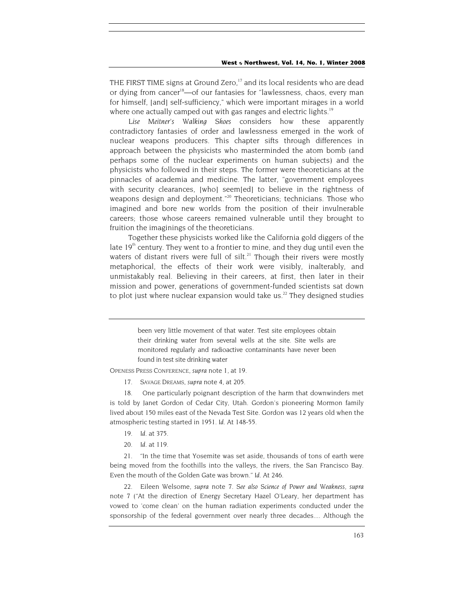<span id="page-5-5"></span>THE FIRST TIME signs at Ground Zero,<sup>17</sup> and its local residents who are dead or dying from cancer<sup>18</sup>—of our fantasies for "lawlessness, chaos, every man for himself, [and] self-sufficiency," which were important mirages in a world where one actually camped out with gas ranges and electric lights.<sup>19</sup>

*Lise Meitner's Walking Shoes* considers how these apparently contradictory fantasies of order and lawlessness emerged in the work of nuclear weapons producers. This chapter sifts through differences in approach between the physicists who masterminded the atom bomb (and perhaps some of the nuclear experiments on human subjects) and the physicists who followed in their steps. The former were theoreticians at the pinnacles of academia and medicine. The latter, "government employees with security clearances, [who] seem[ed] to believe in the rightness of weapons design and deployment."<sup>20</sup> Theoreticians; technicians. Those who imagined and bore new worlds from the position of their invulnerable careers; those whose careers remained vulnerable until they brought to fruition the imaginings of the theoreticians.

Together these physicists worked like the California gold diggers of the late  $19<sup>th</sup>$  century. They went to a frontier to mine, and they dug until even the waters of distant rivers were full of silt.<sup>21</sup> Though their rivers were mostly metaphorical, the effects of their work were visibly, inalterably, and unmistakably real. Believing in their careers, at first, then later in their mission and power, generations of government-funded scientists sat down to plot just where nuclear expansion would take us.<sup>22</sup> They designed studies

> been very little movement of that water. Test site employees obtain their drinking water from several wells at the site. Site wells are monitored regularly and radioactive contaminants have never been found in test site drinking water

<span id="page-5-0"></span>OPENESS PRESS CONFERENCE, *supra* note 1, at 19.

17. SAVAGE DREAMS, *supra* note 4, at 205.

<span id="page-5-1"></span>18. One particularly poignant description of the harm that downwinders met is told by Janet Gordon of Cedar City, Utah. Gordon's pioneering Mormon family lived about 150 miles east of the Nevada Test Site. Gordon was 12 years old when the atmospheric testing started in 1951. *Id.* At 148-55.

- <span id="page-5-2"></span>19*. Id.* at 375.
- 20*. Id.* at 119.

<span id="page-5-4"></span><span id="page-5-3"></span>21. "In the time that Yosemite was set aside, thousands of tons of earth were being moved from the foothills into the valleys, the rivers, the San Francisco Bay. Even the mouth of the Golden Gate was brown." *Id.* At 246.

22. Eileen Welsome, *supra* note 7. *See also Science of Power and Weakness, supra* note 7 ("At the direction of Energy Secretary Hazel O'Leary, her department has vowed to 'come clean' on the human radiation experiments conducted under the sponsorship of the federal government over nearly three decades.... Although the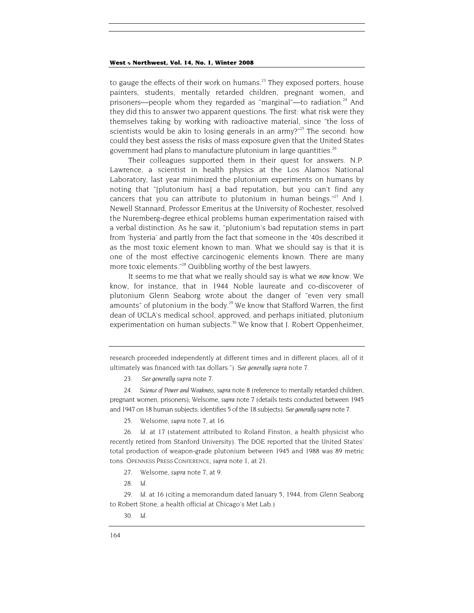to gauge the effects of their work on humans.<sup>23</sup> They exposed porters, house painters, students, mentally retarded children, pregnant women, and prisoners—people whom they regarded as "marginal"—to radiation. $24$  And they did this to answer two apparent questions. The first: what risk were they themselves taking by working with radioactive material, since "the loss of scientists would be akin to losing generals in an army?" $25$  The second: how could they best assess the risks of mass exposure given that the United States government had plans to manufacture plutonium in large quantities.<sup>26</sup>

Their colleagues supported them in their quest for answers. N.P. Lawrence, a scientist in health physics at the Los Alamos National Laboratory, last year minimized the plutonium experiments on humans by noting that "[plutonium has] a bad reputation, but you can't find any cancers that you can attribute to plutonium in human beings." $^{27}$  And J. Newell Stannard, Professor Emeritus at the University of Rochester, resolved the Nuremberg-degree ethical problems human experimentation raised with a verbal distinction. As he saw it, "plutonium's bad reputation stems in part from 'hysteria' and partly from the fact that someone in the '40s described it as the most toxic element known to man. What we should say is that it is one of the most effective carcinogenic elements known. There are many more toxic elements.<sup>"28</sup> Quibbling worthy of the best lawyers.

It seems to me that what we really should say is what we *now* know. We know, for instance, that in 1944 Noble laureate and co-discoverer of plutonium Glenn Seaborg wrote about the danger of "even very small amounts" of plutonium in the body.<sup>29</sup> We know that Stafford Warren, the first dean of UCLA's medical school, approved, and perhaps initiated, plutonium experimentation on human subjects.<sup>30</sup> We know that J. Robert Oppenheimer,

<span id="page-6-0"></span>23. *See generally supra* note 7.

<span id="page-6-1"></span>24*. Science of Power and Weakness, supra* note 8 (reference to mentally retarded children, pregnant women, prisoners); Welsome, *supra* note 7 (details tests conducted between 1945 and 1947 on 18 human subjects; identifies 5 of the 18 subjects). *See generally supra* note 7.

<span id="page-6-2"></span>25. Welsome, *supra* note 7, at 16.

<span id="page-6-3"></span>26*. Id.* at 17 (statement attributed to Roland Finston, a health physicist who recently retired from Stanford University). The DOE reported that the United States' total production of weapon-grade plutonium between 1945 and 1988 was 89 metric tons. OPENNESS PRESS CONFERENCE, *supra* note 1, at 21.

- <span id="page-6-4"></span>27. Welsome, *supra* note 7, at 9.
- <span id="page-6-5"></span>28*. Id.*

<span id="page-6-6"></span>29*. Id.* at 16 (citing a memorandum dated January 5, 1944, from Glenn Seaborg to Robert Stone, a health official at Chicago's Met Lab.)

research proceeded independently at different times and in different places, all of it ultimately was financed with tax dollars."). *See generally supra* note 7.

<span id="page-6-7"></span><sup>30</sup>*. Id.*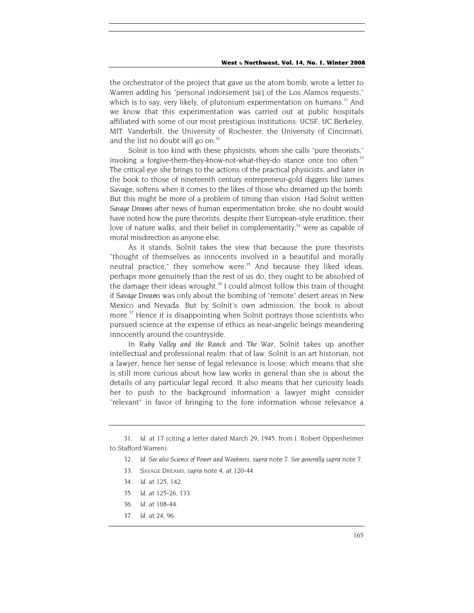the orchestrator of the project that gave us the atom bomb, wrote a letter to Warren adding his "personal indorsement [*sic*] of the Los Alamos requests," which is to say, very likely, of plutonium experimentation on humans.<sup>31</sup> And we know that this experimentation was carried out at public hospitals affiliated with some of our most prestigious institutions: UCSF, UC Berkeley, MIT, Vanderbilt, the University of Rochester, the University of Cincinnati, and the list no doubt will go on.<sup>32</sup>

Solnit is too kind with these physicists, whom she calls "pure theorists," invoking a forgive-them-they-know-not-what-they-do stance once too often.<sup>33</sup> The critical eye she brings to the actions of the practical physicists, and later in the book to those of nineteenth century entrepreneur-gold diggers like James Savage, softens when it comes to the likes of those who dreamed up the bomb. But this might be more of a problem of timing than vision. Had Solnit written *Savage Dreams* after news of human experimentation broke, she no doubt would have noted how the pure theorists, despite their European-style erudition, their love of nature walks, and their belief in complementarity,<sup>34</sup> were as capable of moral misdirection as anyone else.

As it stands, Solnit takes the view that because the pure theorists "thought of themselves as innocents involved in a beautiful and morally neutral practice," they somehow were.<sup>35</sup> And because they liked ideas, perhaps more genuinely than the rest of us do, they ought to be absolved of the damage their ideas wrought.<sup>36</sup> I could almost follow this train of thought if *Savage Dreams* was only about the bombing of "remote" desert areas in New Mexico and Nevada. But by Solnit's own admission, the book is about more.<sup>37</sup> Hence it is disappointing when Solnit portrays those scientists who pursued science at the expense of ethics as near-angelic beings meandering innocently around the countryside.

In *Ruby Valley and the Ranch* and *The War,* Solnit takes up another intellectual and professional realm: that of law. Solnit is an art historian, not a lawyer, hence her sense of legal relevance is loose, which means that she is still more curious about how law works in general than she is about the details of any particular legal record. It also means that her curiosity leads her to push to the background information a lawyer might consider "relevant" in favor of bringing to the fore information whose relevance a

- <span id="page-7-4"></span>35*. Id.* at 125-26, 133.
- <span id="page-7-5"></span>36*. Id.* at 108-44.
- <span id="page-7-6"></span>37*. Id.* at 24, 96.

<span id="page-7-0"></span><sup>31</sup>*. Id.* at 17 (citing a letter dated March 29, 1945, from J. Robert Oppenheimer to Stafford Warren).

<span id="page-7-1"></span><sup>32</sup>*. Id. See also Science of Power and Weakness, supra* note 7. *See generally supra* note 7.

<span id="page-7-2"></span><sup>33.</sup> SAVAGE DREAMS, *supra* note 4, at 120-44.

<span id="page-7-3"></span><sup>34</sup>*. Id.* at 125, 142.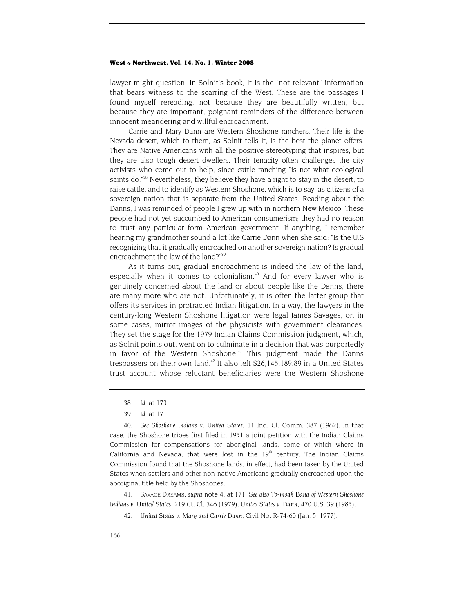lawyer might question. In Solnit's book, it is the "not relevant" information that bears witness to the scarring of the West. These are the passages I found myself rereading, not because they are beautifully written, but because they are important, poignant reminders of the difference between innocent meandering and willful encroachment.

Carrie and Mary Dann are Western Shoshone ranchers. Their life is the Nevada desert, which to them, as Solnit tells it, is the best the planet offers. They are Native Americans with all the positive stereotyping that inspires, but they are also tough desert dwellers. Their tenacity often challenges the city activists who come out to help, since cattle ranching "is not what ecological saints do.<sup>38</sup> Nevertheless, they believe they have a right to stay in the desert, to raise cattle, and to identify as Western Shoshone, which is to say, as citizens of a sovereign nation that is separate from the United States. Reading about the Danns, I was reminded of people I grew up with in northern New Mexico. These people had not yet succumbed to American consumerism; they had no reason to trust any particular form American government. If anything, I remember hearing my grandmother sound a lot like Carrie Dann when she said: "Is the U.S recognizing that it gradually encroached on another sovereign nation? Is gradual encroachment the law of the land?"<sup>39</sup>

As it turns out, gradual encroachment is indeed the law of the land, especially when it comes to colonialism.<sup>40</sup> And for every lawyer who is genuinely concerned about the land or about people like the Danns, there are many more who are not. Unfortunately, it is often the latter group that offers its services in protracted Indian litigation. In a way, the lawyers in the century-long Western Shoshone litigation were legal James Savages, or, in some cases, mirror images of the physicists with government clearances. They set the stage for the 1979 Indian Claims Commission judgment, which, as Solnit points out, went on to culminate in a decision that was purportedly in favor of the Western Shoshone.<sup>41</sup> This judgment made the Danns trespassers on their own land.<sup>42</sup> It also left \$26,145,189.89 in a United States trust account whose reluctant beneficiaries were the Western Shoshone

<span id="page-8-3"></span>41. SAVAGE DREAMS, *supra* note 4, at 171. *See also To-moak Band of Western Shoshone Indians v. United States,* 219 Ct. Cl. 346 (1979); *United States v. Dann,* 470 U.S. 39 (1985).

<span id="page-8-4"></span>42*. United States v. Mary and Carrie Dann,* Civil No. R-74-60 (Jan. 5, 1977).

<span id="page-8-0"></span><sup>38</sup>*. Id.* at 173.

<sup>39</sup>*. Id.* at 171.

<span id="page-8-2"></span><span id="page-8-1"></span><sup>40</sup>*. See Shoshone Indians v. United States,* 11 Ind. Cl. Comm. 387 (1962). In that case, the Shoshone tribes first filed in 1951 a joint petition with the Indian Claims Commission for compensations for aboriginal lands, some of which where in California and Nevada, that were lost in the  $19<sup>th</sup>$  century. The Indian Claims Commission found that the Shoshone lands, in effect, had been taken by the United States when settlers and other non-native Americans gradually encroached upon the aboriginal title held by the Shoshones.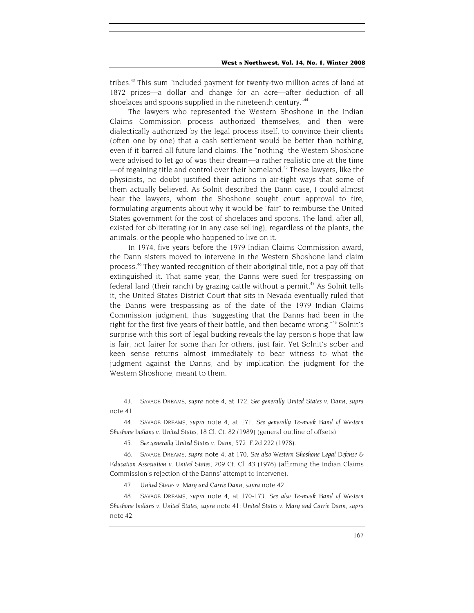tribes.<sup>43</sup> This sum "included payment for twenty-two million acres of land at 1872 prices—a dollar and change for an acre—after deduction of all shoelaces and spoons supplied in the nineteenth century."<sup>44</sup>

The lawyers who represented the Western Shoshone in the Indian Claims Commission process authorized themselves, and then were dialectically authorized by the legal process itself, to convince their clients (often one by one) that a cash settlement would be better than nothing, even if it barred all future land claims. The "nothing" the Western Shoshone were advised to let go of was their dream—a rather realistic one at the time  $-$ of regaining title and control over their homeland.<sup>45</sup> These lawyers, like the physicists, no doubt justified their actions in air-tight ways that some of them actually believed. As Solnit described the Dann case, I could almost hear the lawyers, whom the Shoshone sought court approval to fire, formulating arguments about why it would be "fair" to reimburse the United States government for the cost of shoelaces and spoons. The land, after all, existed for obliterating (or in any case selling), regardless of the plants, the animals, or the people who happened to live on it.

In 1974, five years before the 1979 Indian Claims Commission award, the Dann sisters moved to intervene in the Western Shoshone land claim process[.46](#page-9-3) They wanted recognition of their aboriginal title, not a pay off that extinguished it. That same year, the Danns were sued for trespassing on federal land (their ranch) by grazing cattle without a permit.<sup>47</sup> As Solnit tells it, the United States District Court that sits in Nevada eventually ruled that the Danns were trespassing as of the date of the 1979 Indian Claims Commission judgment, thus "suggesting that the Danns had been in the right for the first five years of their battle, and then became wrong."<sup>48</sup> Solnit's surprise with this sort of legal bucking reveals the lay person's hope that law is fair, not fairer for some than for others, just fair. Yet Solnit's sober and keen sense returns almost immediately to bear witness to what the judgment against the Danns, and by implication the judgment for the Western Shoshone, meant to them.

<span id="page-9-0"></span>43. SAVAGE DREAMS, *supra* note 4, at 172. *See generally United States v. Dann, supra* note 41.

<span id="page-9-1"></span>44. SAVAGE DREAMS, *supra* note 4, at 171. *See generally Te-moak Band of Western Shoshone Indians v. United States,* 18 Cl. Ct. 82 (1989) (general outline of offsets).

<span id="page-9-2"></span>45*. See generally United States v. Dann,* 572 F.2d 222 (1978).

<span id="page-9-3"></span>46. SAVAGE DREAMS, *supra* note 4, at 170. *See also Western Shoshone Legal Defense & Education Association v. United States,* 209 Ct. Cl. 43 (1976) (affirming the Indian Claims Commission's rejection of the Danns' attempt to intervene).

<span id="page-9-4"></span>47*. United States v. Mary and Carrie Dann, supra* note 42.

<span id="page-9-5"></span>48. SAVAGE DREAMS, *supra* note 4, at 170-173. *See also Te-moak Band of Western Shoshone Indians v. United States, supra* note 41; *United States v. Mary and Carrie Dann, supra*  note 42.